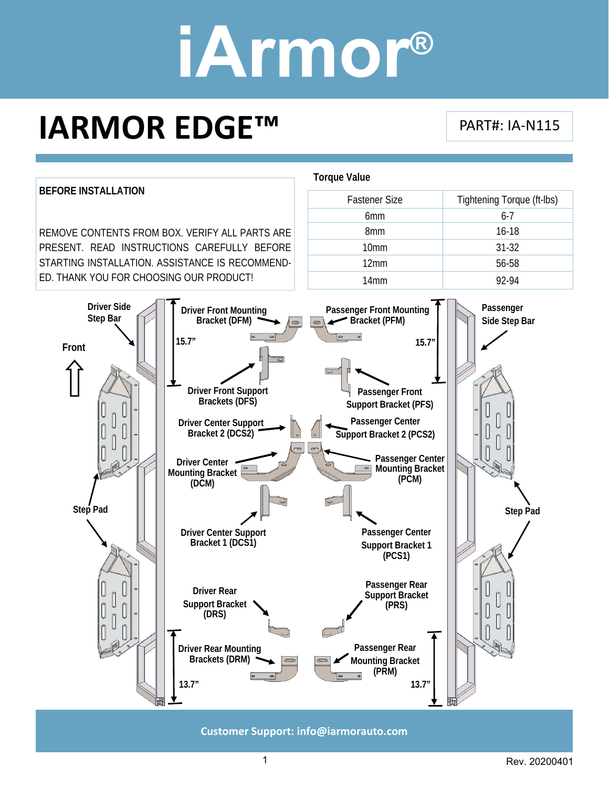### **IARMOR EDGE™**

PART#: IA‐N115



**Customer Support: info@iarmorauto.com** 

1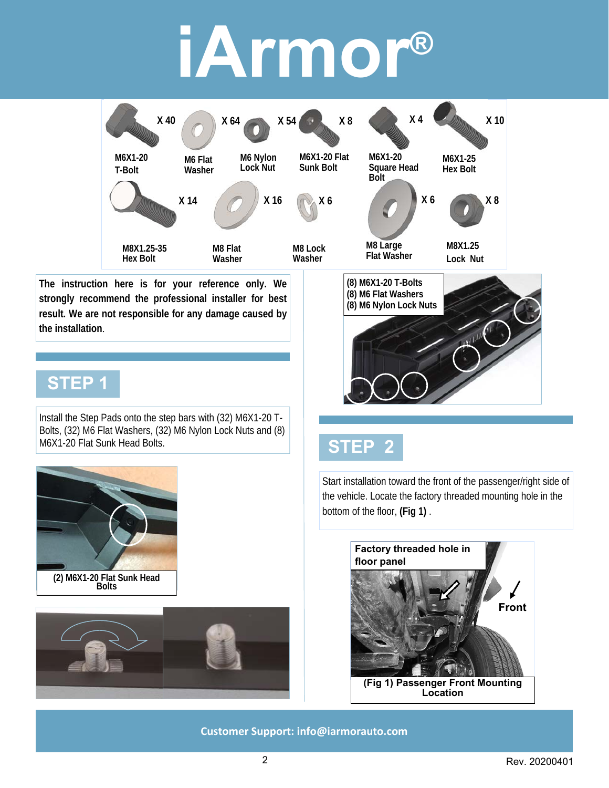

**The instruction here is for your reference only. We strongly recommend the professional installer for best result. We are not responsible for any damage caused by the installation**.

#### **STEP 1**

Install the Step Pads onto the step bars with (32) M6X1-20 T-Bolts, (32) M6 Flat Washers, (32) M6 Nylon Lock Nuts and (8) M6X1-20 Flat Sunk Head Bolts.





### **(8) M6X1-20 T-Bolts (8) M6 Flat Washers (8) M6 Nylon Lock Nuts**

### **STEP 2**

Start installation toward the front of the passenger/right side of the vehicle. Locate the factory threaded mounting hole in the bottom of the floor, **(Fig 1)** .

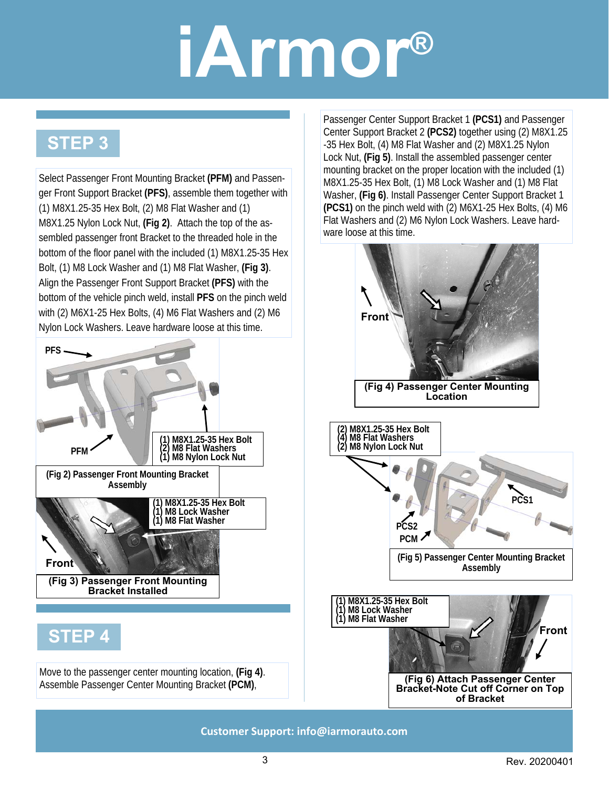### **STEP 3**

Select Passenger Front Mounting Bracket **(PFM)** and Passenger Front Support Bracket **(PFS)**, assemble them together with (1) M8X1.25-35 Hex Bolt, (2) M8 Flat Washer and (1) M8X1.25 Nylon Lock Nut, **(Fig 2)**. Attach the top of the assembled passenger front Bracket to the threaded hole in the bottom of the floor panel with the included (1) M8X1.25-35 Hex Bolt, (1) M8 Lock Washer and (1) M8 Flat Washer, **(Fig 3)**. Align the Passenger Front Support Bracket **(PFS)** with the bottom of the vehicle pinch weld, install **PFS** on the pinch weld with (2) M6X1-25 Hex Bolts, (4) M6 Flat Washers and (2) M6 Nylon Lock Washers. Leave hardware loose at this time.



Passenger Center Support Bracket 1 **(PCS1)** and Passenger Center Support Bracket 2 **(PCS2)** together using (2) M8X1.25 -35 Hex Bolt, (4) M8 Flat Washer and (2) M8X1.25 Nylon Lock Nut, **(Fig 5)**. Install the assembled passenger center mounting bracket on the proper location with the included (1) M8X1.25-35 Hex Bolt, (1) M8 Lock Washer and (1) M8 Flat Washer, **(Fig 6)**. Install Passenger Center Support Bracket 1 **(PCS1)** on the pinch weld with (2) M6X1-25 Hex Bolts, (4) M6 Flat Washers and (2) M6 Nylon Lock Washers. Leave hardware loose at this time.

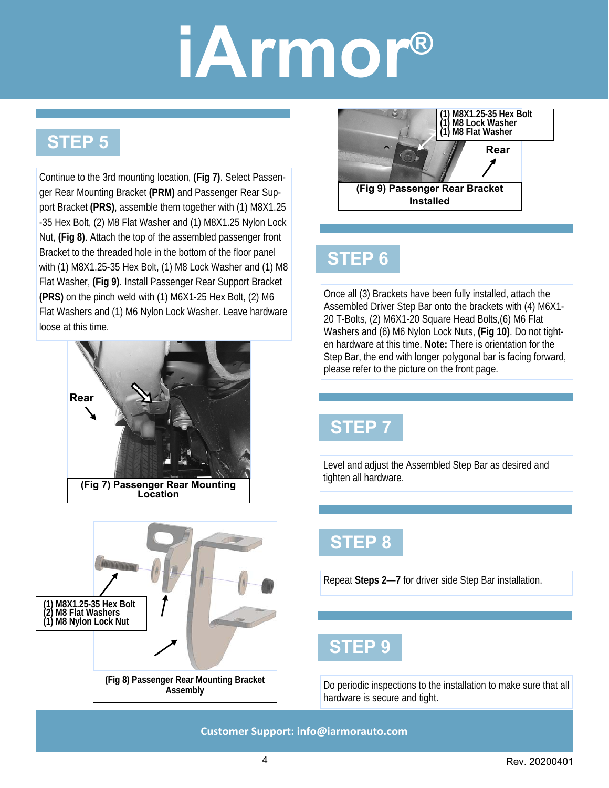### **STEP 5**

Continue to the 3rd mounting location, **(Fig 7)**. Select Passenger Rear Mounting Bracket **(PRM)** and Passenger Rear Support Bracket **(PRS)**, assemble them together with (1) M8X1.25 -35 Hex Bolt, (2) M8 Flat Washer and (1) M8X1.25 Nylon Lock Nut, **(Fig 8)**. Attach the top of the assembled passenger front Bracket to the threaded hole in the bottom of the floor panel with (1) M8X1.25-35 Hex Bolt, (1) M8 Lock Washer and (1) M8 Flat Washer, **(Fig 9)**. Install Passenger Rear Support Bracket **(PRS)** on the pinch weld with (1) M6X1-25 Hex Bolt, (2) M6 Flat Washers and (1) M6 Nylon Lock Washer. Leave hardware loose at this time.







#### **STEP 6**

Once all (3) Brackets have been fully installed, attach the Assembled Driver Step Bar onto the brackets with (4) M6X1- 20 T-Bolts, (2) M6X1-20 Square Head Bolts,(6) M6 Flat Washers and (6) M6 Nylon Lock Nuts, **(Fig 10)**. Do not tighten hardware at this time. **Note:** There is orientation for the Step Bar, the end with longer polygonal bar is facing forward, please refer to the picture on the front page.

### **STEP 7**

Level and adjust the Assembled Step Bar as desired and tighten all hardware.

### **STEP 8**

Repeat **Steps 2—7** for driver side Step Bar installation.

### **STEP 9**

Do periodic inspections to the installation to make sure that all hardware is secure and tight.